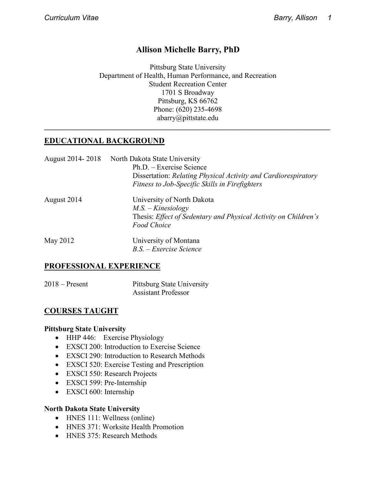## **Allison Michelle Barry, PhD**

Pittsburg State University Department of Health, Human Performance, and Recreation Student Recreation Center 1701 S Broadway Pittsburg, KS 66762 Phone: (620) 235-4698 abarry@pittstate.edu

**\_\_\_\_\_\_\_\_\_\_\_\_\_\_\_\_\_\_\_\_\_\_\_\_\_\_\_\_\_\_\_\_\_\_\_\_\_\_\_\_\_\_\_\_\_\_\_\_\_\_\_\_\_\_\_\_\_\_\_\_\_\_\_\_\_\_\_\_\_\_\_\_\_\_\_\_\_\_\_\_\_**

## **EDUCATIONAL BACKGROUND**

|             | August 2014-2018 North Dakota State University<br>Ph.D. – Exercise Science<br>Dissertation: Relating Physical Activity and Cardiorespiratory |
|-------------|----------------------------------------------------------------------------------------------------------------------------------------------|
|             | Fitness to Job-Specific Skills in Firefighters                                                                                               |
| August 2014 | University of North Dakota<br>$M.S. - Kinesiology$<br>Thesis: Effect of Sedentary and Physical Activity on Children's<br><b>Food Choice</b>  |
| May 2012    | University of Montana<br>B.S. - Exercise Science                                                                                             |

#### **PROFESSIONAL EXPERIENCE**

2018 – Present Pittsburg State University Assistant Professor

## **COURSES TAUGHT**

#### **Pittsburg State University**

- HHP 446: Exercise Physiology
- EXSCI 200: Introduction to Exercise Science
- EXSCI 290: Introduction to Research Methods
- EXSCI 520: Exercise Testing and Prescription
- EXSCI 550: Research Projects
- EXSCI 599: Pre-Internship
- EXSCI 600: Internship

#### **North Dakota State University**

- HNES 111: Wellness (online)
- HNES 371: Worksite Health Promotion
- HNES 375: Research Methods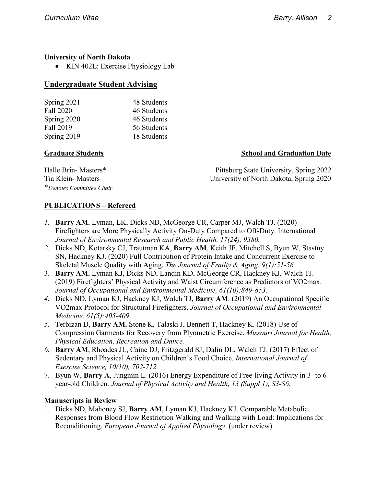#### **University of North Dakota**

• KIN 402L: Exercise Physiology Lab

### **Undergraduate Student Advising**

| Spring 2021 | 48 Students |
|-------------|-------------|
| Fall 2020   | 46 Students |
| Spring 2020 | 46 Students |
| Fall 2019   | 56 Students |
| Spring 2019 | 18 Students |

#### **Graduate Students Graduation Date** School and Graduation Date

Halle Brin- Masters\* Pittsburg State University, Spring 2022 Tia Klein- Masters University of North Dakota, Spring 2020

\**Denotes Committee Chair*

## **PUBLICATIONS – Refereed**

- *1.* **Barry AM**, Lyman, LK, Dicks ND, McGeorge CR, Carper MJ, Walch TJ. (2020) Firefighters are More Physically Activity On-Duty Compared to Off-Duty. International *Journal of Environmental Research and Public Health. 17(24), 9380.*
- *2.* Dicks ND, Kotarsky CJ, Trautman KA, **Barry AM**, Keith JF, Mitchell S, Byun W, Stastny SN, Hackney KJ. (2020) Full Contribution of Protein Intake and Concurrent Exercise to Skeletal Muscle Quality with Aging. *The Journal of Frailty & Aging. 9(1):51-56.*
- 3. **Barry AM**, Lyman KJ, Dicks ND, Landin KD, McGeorge CR, Hackney KJ, Walch TJ. (2019) Firefighters' Physical Activity and Waist Circumference as Predictors of VO2max. *Journal of Occupational and Environmental Medicine, 61(10):849-853.*
- *4.* Dicks ND, Lyman KJ, Hackney KJ, Walch TJ, **Barry AM**. (2019) An Occupational Specific VO2max Protocol for Structural Firefighters. *Journal of Occupational and Environmental Medicine, 61(5):405-409.*
- *5.* Terbizan D, **Barry AM**, Stone K, Talaski J, Bennett T, Hackney K. (2018) Use of Compression Garments for Recovery from Plyometric Exercise. *Missouri Journal for Health, Physical Education, Recreation and Dance.*
- *6.* **Barry AM**, Rhoades JL, Caine DJ, Fritzgerald SJ, Dalin DL, Walch TJ. (2017) Effect of Sedentary and Physical Activity on Children's Food Choice. *International Journal of Exercise Science, 10(10), 702-712.*
- 7. Byun W, **Barry A**, Jungmin L. (2016) Energy Expenditure of Free-living Activity in 3- to 6 year-old Children. *Journal of Physical Activity and Health, 13 (Suppl 1), S3-S6.*

#### **Manuscripts in Review**

1. Dicks ND, Mahoney SJ, **Barry AM**, Lyman KJ, Hackney KJ. Comparable Metabolic Responses from Blood Flow Restriction Walking and Walking with Load: Implications for Reconditioning. *European Journal of Applied Physiology*. (under review)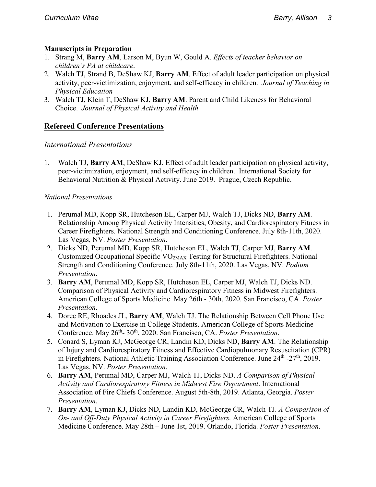#### **Manuscripts in Preparation**

- 1. Strang M, **Barry AM**, Larson M, Byun W, Gould A. *Effects of teacher behavior on children's PA at childcare*.
- 2. Walch TJ, Strand B, DeShaw KJ, **Barry AM**. Effect of adult leader participation on physical activity, peer-victimization, enjoyment, and self-efficacy in children. *Journal of Teaching in Physical Education*
- 3. Walch TJ, Klein T, DeShaw KJ, **Barry AM**. Parent and Child Likeness for Behavioral Choice. *Journal of Physical Activity and Health*

## **Refereed Conference Presentations**

## *International Presentations*

1. Walch TJ, **Barry AM**, DeShaw KJ. Effect of adult leader participation on physical activity, peer-victimization, enjoyment, and self-efficacy in children. International Society for Behavioral Nutrition & Physical Activity. June 2019. Prague, Czech Republic.

#### *National Presentations*

- 1. Perumal MD, Kopp SR, Hutcheson EL, Carper MJ, Walch TJ, Dicks ND, **Barry AM**. Relationship Among Physical Activity Intensities, Obesity, and Cardiorespiratory Fitness in Career Firefighters. National Strength and Conditioning Conference. July 8th-11th, 2020. Las Vegas, NV. *Poster Presentation*.
- 2. Dicks ND, Perumal MD, Kopp SR, Hutcheson EL, Walch TJ, Carper MJ, **Barry AM**. Customized Occupational Specific VO2MAX Testing for Structural Firefighters. National Strength and Conditioning Conference. July 8th-11th, 2020. Las Vegas, NV. *Podium Presentation*.
- 3. **Barry AM**, Perumal MD, Kopp SR, Hutcheson EL, Carper MJ, Walch TJ, Dicks ND. Comparison of Physical Activity and Cardiorespiratory Fitness in Midwest Firefighters. American College of Sports Medicine. May 26th - 30th, 2020. San Francisco, CA. *Poster Presentation*.
- 4. Doree RE, Rhoades JL, **Barry AM**, Walch TJ. The Relationship Between Cell Phone Use and Motivation to Exercise in College Students. American College of Sports Medicine Conference. May 26<sup>th</sup>- 30<sup>th</sup>, 2020. San Francisco, CA. *Poster Presentation*.
- 5. Conard S, Lyman KJ, McGeorge CR, Landin KD, Dicks ND, **Barry AM**. The Relationship of Injury and Cardiorespiratory Fitness and Effective Cardiopulmonary Resuscitation (CPR) in Firefighters. National Athletic Training Association Conference. June  $24<sup>th</sup> - 27<sup>th</sup>$ , 2019. Las Vegas, NV. *Poster Presentation*.
- 6. **Barry AM**, Perumal MD, Carper MJ, Walch TJ, Dicks ND. *A Comparison of Physical Activity and Cardiorespiratory Fitness in Midwest Fire Department*. International Association of Fire Chiefs Conference. August 5th-8th, 2019. Atlanta, Georgia. *Poster Presentation*.
- 7. **Barry AM**, Lyman KJ, Dicks ND, Landin KD, McGeorge CR, Walch TJ. *A Comparison of On- and Off-Duty Physical Activity in Career Firefighters.* American College of Sports Medicine Conference. May 28th – June 1st, 2019. Orlando, Florida. *Poster Presentation*.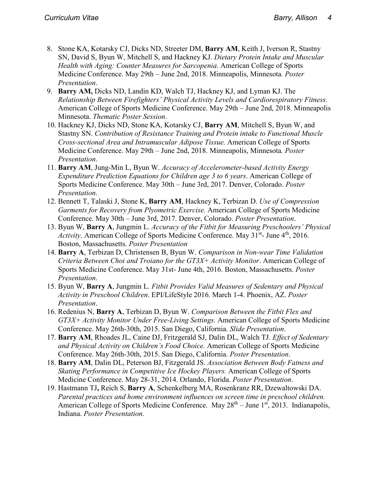- 8. Stone KA, Kotarsky CJ, Dicks ND, Streeter DM, **Barry AM**, Keith J, Iverson R, Stastny SN, David S, Byun W, Mitchell S, and Hackney KJ. *Dietary Protein Intake and Muscular Health with Aging: Counter Measures for Sarcopenia*. American College of Sports Medicine Conference. May 29th – June 2nd, 2018. Minneapolis, Minnesota*. Poster Presentation*.
- 9. **Barry AM,** Dicks ND, Landin KD, Walch TJ, Hackney KJ, and Lyman KJ. The *Relationship Between Firefighters' Physical Activity Levels and Cardiorespiratory Fitness.* American College of Sports Medicine Conference. May 29th – June 2nd, 2018. Minneapolis Minnesota. *Thematic Poster Session*.
- 10. Hackney KJ, Dicks ND, Stone KA, Kotarsky CJ, **Barry AM**, Mitchell S, Byun W, and Stastny SN. *Contribution of Resistance Training and Protein intake to Functional Muscle Cross-sectional Area and Intramuscular Adipose Tissue.* American College of Sports Medicine Conference. May 29th – June 2nd, 2018. Minneapolis, Minnesota*. Poster Presentation*.
- 11. **Barry AM**, Jung-Min L, Byun W. *Accuracy of Accelerometer-based Activity Energy Expenditure Prediction Equations for Children age 3 to 6 years*. American College of Sports Medicine Conference. May 30th – June 3rd, 2017. Denver, Colorado. *Poster Presentation*.
- 12. Bennett T, Talaski J, Stone K, **Barry AM**, Hackney K, Terbizan D. *Use of Compression Garments for Recovery from Plyometric Exercise.* American College of Sports Medicine Conference. May 30th – June 3rd, 2017. Denver, Colorado. *Poster Presentation*.
- 13. Byun W, **Barry A**, Jungmin L. *Accuracy of the Fitbit for Measuring Preschoolers' Physical Activity*. American College of Sports Medicine Conference. May 31<sup>st</sup>- June 4<sup>th</sup>, 2016. Boston, Massachusetts. *Poster Presentation*
- 14. **Barry A**, Terbizan D, Christensen B, Byun W. *Comparison in Non-wear Time Validation Criteria Between Choi and Troiano for the GT3X+ Activity Monitor*. American College of Sports Medicine Conference. May 31st- June 4th, 2016. Boston, Massachusetts. *Poster Presentation*.
- 15. Byun W, **Barry A**, Jungmin L. *Fitbit Provides Valid Measures of Sedentary and Physical Activity in Preschool Children*. EPI/LifeStyle 2016. March 1-4. Phoenix, AZ. *Poster Presentation*.
- 16. Redenius N, **Barry A**, Terbizan D, Byun W. *Comparison Between the Fitbit Flex and GT3X+ Activity Monitor Under Free-Living Settings.* American College of Sports Medicine Conference. May 26th-30th, 2015. San Diego, California. *Slide Presentation*.
- 17. **Barry AM**, Rhoades JL, Caine DJ, Fritzgerald SJ, Dalin DL, Walch TJ. *Effect of Sedentary and Physical Activity on Children's Food Choice.* American College of Sports Medicine Conference. May 26th-30th, 2015. San Diego, California. *Poster Presentation*.
- 18. **Barry AM**, Dalin DL, Peterson BJ, Fitzgerald JS. *Association Between Body Fatness and Skating Performance in Competitive Ice Hockey Players.* American College of Sports Medicine Conference. May 28-31, 2014. Orlando, Florida. *Poster Presentation*.
- 19. Hastmann TJ**,** Reich S, **Barry A**, Schenkelberg MA, Rosenkranz RR, Dzewaltowski DA. *Parental practices and home environment influences on screen time in preschool children.* American College of Sports Medicine Conference. May  $28<sup>th</sup> - June 1<sup>st</sup>$ , 2013. Indianapolis, Indiana. *Poster Presentation*.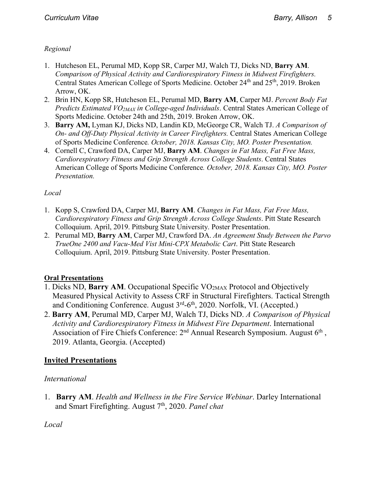## *Regional*

- 1. Hutcheson EL, Perumal MD, Kopp SR, Carper MJ, Walch TJ, Dicks ND, **Barry AM**. *Comparison of Physical Activity and Cardiorespiratory Fitness in Midwest Firefighters.* Central States American College of Sports Medicine. October 24<sup>th</sup> and 25<sup>th</sup>, 2019. Broken Arrow, OK.
- 2. Brin HN, Kopp SR, Hutcheson EL, Perumal MD, **Barry AM**, Carper MJ. *Percent Body Fat Predicts Estimated VO2MAX in College-aged Individuals*. Central States American College of Sports Medicine. October 24th and 25th, 2019. Broken Arrow, OK.
- 3. **Barry AM,** Lyman KJ, Dicks ND, Landin KD, McGeorge CR, Walch TJ. *A Comparison of On- and Off-Duty Physical Activity in Career Firefighters.* Central States American College of Sports Medicine Conference*. October, 2018. Kansas City, MO. Poster Presentation.*
- 4. Cornell C, Crawford DA, Carper MJ, **Barry AM**. *Changes in Fat Mass, Fat Free Mass, Cardiorespiratory Fitness and Grip Strength Across College Students*. Central States American College of Sports Medicine Conference*. October, 2018. Kansas City, MO. Poster Presentation.*

## *Local*

- 1. Kopp S, Crawford DA, Carper MJ, **Barry AM**. *Changes in Fat Mass, Fat Free Mass, Cardiorespiratory Fitness and Grip Strength Across College Students*. Pitt State Research Colloquium. April, 2019. Pittsburg State University. Poster Presentation.
- 2. Perumal MD, **Barry AM**, Carper MJ, Crawford DA. *An Agreement Study Between the Parvo TrueOne 2400 and Vacu-Med Vist Mini-CPX Metabolic Cart*. Pitt State Research Colloquium. April, 2019. Pittsburg State University. Poster Presentation.

## **Oral Presentations**

- 1. Dicks ND, **Barry AM**. Occupational Specific VO2MAX Protocol and Objectively Measured Physical Activity to Assess CRF in Structural Firefighters. Tactical Strength and Conditioning Conference. August 3<sup>rd</sup>-6<sup>th</sup>, 2020. Norfolk, VI. (Accepted.)
- 2. **Barry AM**, Perumal MD, Carper MJ, Walch TJ, Dicks ND. *A Comparison of Physical Activity and Cardiorespiratory Fitness in Midwest Fire Department*. International Association of Fire Chiefs Conference: 2<sup>nd</sup> Annual Research Symposium. August 6<sup>th</sup>, 2019. Atlanta, Georgia. (Accepted)

## **Invited Presentations**

## *International*

1. **Barry AM**. *Health and Wellness in the Fire Service Webinar*. Darley International and Smart Firefighting. August 7th, 2020. *Panel chat*

*Local*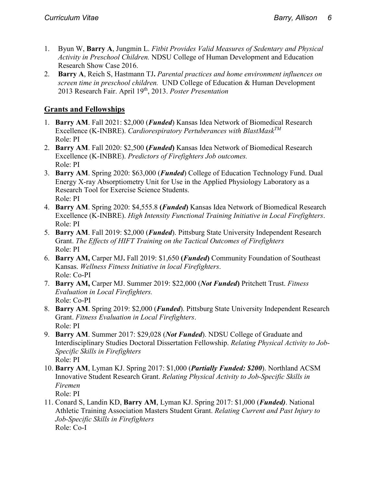- 1. Byun W, **Barry A**, Jungmin L. *Fitbit Provides Valid Measures of Sedentary and Physical Activity in Preschool Children.* NDSU College of Human Development and Education Research Show Case 2016.
- 2. **Barry A**, Reich S, Hastmann TJ**.** *Parental practices and home environment influences on screen time in preschool children.* UND College of Education & Human Development 2013 Research Fair. April 19th, 2013. *Poster Presentation*

## **Grants and Fellowships**

- 1. **Barry AM**. Fall 2021: \$2,000 (*Funded*) Kansas Idea Network of Biomedical Research Excellence (K-INBRE). *Cardiorespiratory Pertuberances with BlastMaskTM* Role: PI
- 2. **Barry AM**. Fall 2020: \$2,500 **(***Funded***)** Kansas Idea Network of Biomedical Research Excellence (K-INBRE). *Predictors of Firefighters Job outcomes.*  Role: PI
- 3. **Barry AM**. Spring 2020: \$63,000 (*Funded*) College of Education Technology Fund. Dual Energy X-ray Absorptiometry Unit for Use in the Applied Physiology Laboratory as a Research Tool for Exercise Science Students. Role: PI
- 4. **Barry AM**. Spring 2020: \$4,555.8 **(***Funded***)** Kansas Idea Network of Biomedical Research Excellence (K-INBRE). *High Intensity Functional Training Initiative in Local Firefighters*. Role: PI
- 5. **Barry AM**. Fall 2019: \$2,000 (*Funded*). Pittsburg State University Independent Research Grant. *The Effects of HIFT Training on the Tactical Outcomes of Firefighters* Role: PI
- 6. **Barry AM,** Carper MJ**.** Fall 2019: \$1,650 **(***Funded***)** Community Foundation of Southeast Kansas. *Wellness Fitness Initiative in local Firefighters*. Role: Co-PI
- 7. **Barry AM,** Carper MJ. Summer 2019: \$22,000 (*Not Funded***)** Pritchett Trust. *Fitness Evaluation in Local Firefighters.* Role: Co-PI
- 8. **Barry AM**. Spring 2019: \$2,000 (*Funded*). Pittsburg State University Independent Research Grant. *Fitness Evaluation in Local Firefighters*. Role: PI
- 9. **Barry AM**. Summer 2017: \$29,028 (*Not Funded*). NDSU College of Graduate and Interdisciplinary Studies Doctoral Dissertation Fellowship. *Relating Physical Activity to Job-Specific Skills in Firefighters* Role: PI
- 10. **Barry AM**, Lyman KJ. Spring 2017: \$1,000 (*Partially Funded: \$200*). Northland ACSM Innovative Student Research Grant. *Relating Physical Activity to Job-Specific Skills in Firemen*
	- Role: PI
- 11. Conard S, Landin KD, **Barry AM**, Lyman KJ. Spring 2017: \$1,000 (*Funded)*. National Athletic Training Association Masters Student Grant. *Relating Current and Past Injury to Job-Specific Skills in Firefighters* Role: Co-I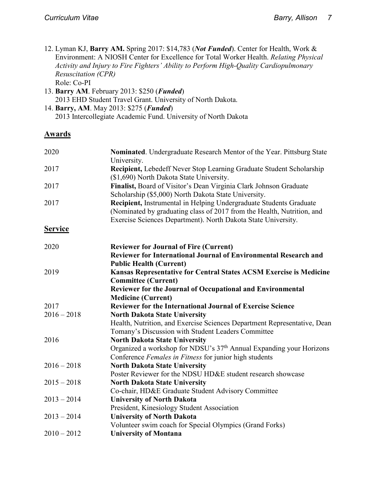- 12. Lyman KJ, **Barry AM.** Spring 2017: \$14,783 (*Not Funded*). Center for Health, Work & Environment: A NIOSH Center for Excellence for Total Worker Health. *Relating Physical Activity and Injury to Fire Fighters' Ability to Perform High-Quality Cardiopulmonary Resuscitation (CPR)* Role: Co-PI
- 13. **Barry AM**. February 2013: \$250 (*Funded*) 2013 EHD Student Travel Grant. University of North Dakota. 14. **Barry, AM**. May 2013: \$275 (*Funded*)
	- 2013 Intercollegiate Academic Fund. University of North Dakota

## **Awards**

| 2020           | Nominated. Undergraduate Research Mentor of the Year. Pittsburg State<br>University.                                                                                                                          |
|----------------|---------------------------------------------------------------------------------------------------------------------------------------------------------------------------------------------------------------|
| 2017           | Recipient, Lebedeff Never Stop Learning Graduate Student Scholarship<br>(\$1,690) North Dakota State University.                                                                                              |
| 2017           | Finalist, Board of Visitor's Dean Virginia Clark Johnson Graduate<br>Scholarship (\$5,000) North Dakota State University.                                                                                     |
| 2017           | Recipient, Instrumental in Helping Undergraduate Students Graduate<br>(Nominated by graduating class of 2017 from the Health, Nutrition, and<br>Exercise Sciences Department). North Dakota State University. |
| <b>Service</b> |                                                                                                                                                                                                               |
| 2020           | <b>Reviewer for Journal of Fire (Current)</b>                                                                                                                                                                 |
|                | Reviewer for International Journal of Environmental Research and                                                                                                                                              |
|                | <b>Public Health (Current)</b>                                                                                                                                                                                |
| 2019           | Kansas Representative for Central States ACSM Exercise is Medicine                                                                                                                                            |
|                | <b>Committee (Current)</b>                                                                                                                                                                                    |
|                | Reviewer for the Journal of Occupational and Environmental                                                                                                                                                    |
|                | <b>Medicine (Current)</b>                                                                                                                                                                                     |
| 2017           | <b>Reviewer for the International Journal of Exercise Science</b>                                                                                                                                             |
| $2016 - 2018$  | <b>North Dakota State University</b>                                                                                                                                                                          |
|                | Health, Nutrition, and Exercise Sciences Department Representative, Dean<br>Tomany's Discussion with Student Leaders Committee                                                                                |
| 2016           | <b>North Dakota State University</b>                                                                                                                                                                          |
|                | Organized a workshop for NDSU's 37 <sup>th</sup> Annual Expanding your Horizons                                                                                                                               |
|                | Conference Females in Fitness for junior high students                                                                                                                                                        |
| $2016 - 2018$  | <b>North Dakota State University</b>                                                                                                                                                                          |
|                | Poster Reviewer for the NDSU HD&E student research showcase                                                                                                                                                   |
| $2015 - 2018$  | <b>North Dakota State University</b>                                                                                                                                                                          |
|                | Co-chair, HD&E Graduate Student Advisory Committee                                                                                                                                                            |
| $2013 - 2014$  | <b>University of North Dakota</b>                                                                                                                                                                             |
|                | President, Kinesiology Student Association                                                                                                                                                                    |
| $2013 - 2014$  | <b>University of North Dakota</b>                                                                                                                                                                             |
|                | Volunteer swim coach for Special Olympics (Grand Forks)                                                                                                                                                       |
| $2010 - 2012$  | <b>University of Montana</b>                                                                                                                                                                                  |